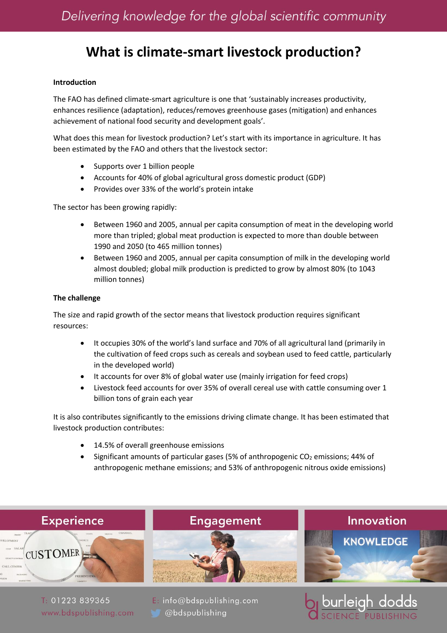# **What is climate-smart livestock production?**

### **Introduction**

The FAO has defined climate-smart agriculture is one that 'sustainably increases productivity, enhances resilience (adaptation), reduces/removes greenhouse gases (mitigation) and enhances achievement of national food security and development goals'.

What does this mean for livestock production? Let's start with its importance in agriculture. It has been estimated by the FAO and others that the livestock sector:

- Supports over 1 billion people
- Accounts for 40% of global agricultural gross domestic product (GDP)
- Provides over 33% of the world's protein intake

The sector has been growing rapidly:

- Between 1960 and 2005, annual per capita consumption of meat in the developing world more than tripled; global meat production is expected to more than double between 1990 and 2050 (to 465 million tonnes)
- Between 1960 and 2005, annual per capita consumption of milk in the developing world almost doubled; global milk production is predicted to grow by almost 80% (to 1043 million tonnes)

#### **The challenge**

The size and rapid growth of the sector means that livestock production requires significant resources:

- It occupies 30% of the world's land surface and 70% of all agricultural land (primarily in the cultivation of feed crops such as cereals and soybean used to feed cattle, particularly in the developed world)
- It accounts for over 8% of global water use (mainly irrigation for feed crops)
- Livestock feed accounts for over 35% of overall cereal use with cattle consuming over 1 billion tons of grain each year

It is also contributes significantly to the emissions driving climate change. It has been estimated that livestock production contributes:

- 14.5% of overall greenhouse emissions
- Significant amounts of particular gases (5% of anthropogenic  $CO<sub>2</sub>$  emissions; 44% of anthropogenic methane emissions; and 53% of anthropogenic nitrous oxide emissions)

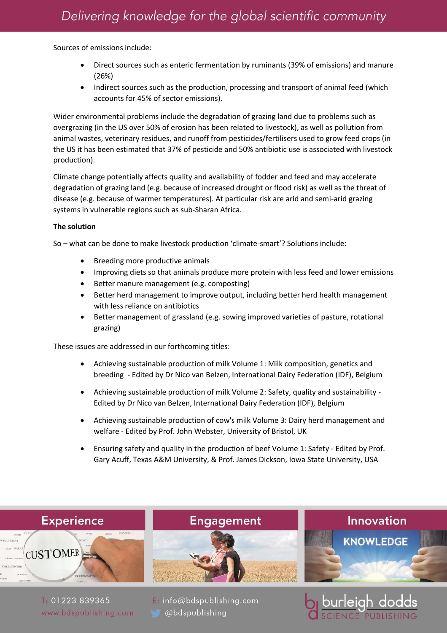Sources of emissions include:

- Direct sources such as enteric fermentation by ruminants (39% of emissions) and manure (26%)
- Indirect sources such as the production, processing and transport of animal feed (which accounts for 45% of sector emissions).

Wider environmental problems include the degradation of grazing land due to problems such as overgrazing (in the US over 50% of erosion has been related to livestock), as well as pollution from animal wastes, veterinary residues, and runoff from pesticides/fertilisers used to grow feed crops (in the US it has been estimated that 37% of pesticide and 50% antibiotic use is associated with livestock production).

Climate change potentially affects quality and availability of fodder and feed and may accelerate degradation of grazing land (e.g. because of increased drought or flood risk) as well as the threat of disease (e.g. because of warmer temperatures). At particular risk are arid and semi-arid grazing systems in vulnerable regions such as sub-Sharan Africa.

## **The solution**

So – what can be done to make livestock production 'climate-smart'? Solutions include:

- Breeding more productive animals
- Improving diets so that animals produce more protein with less feed and lower emissions
- Better manure management (e.g. composting)
- Better herd management to improve output, including better herd health management with less reliance on antibiotics
- Better management of grassland (e.g. sowing improved varieties of pasture, rotational grazing)

These issues are addressed in our forthcoming titles:

- Achieving sustainable production of milk Volume 1: Milk composition, genetics and breeding - Edited by Dr Nico van Belzen, International Dairy Federation (IDF), Belgium
- Achieving sustainable production of milk Volume 2: Safety, quality and sustainability Edited by Dr Nico van Belzen, International Dairy Federation (IDF), Belgium
- Achieving sustainable production of cow's milk Volume 3: Dairy herd management and welfare - Edited by Prof. John Webster, University of Bristol, UK
- Ensuring safety and quality in the production of beef Volume 1: Safety Edited by Prof. Gary Acuff, Texas A&M University, & Prof. James Dickson, Iowa State University, USA